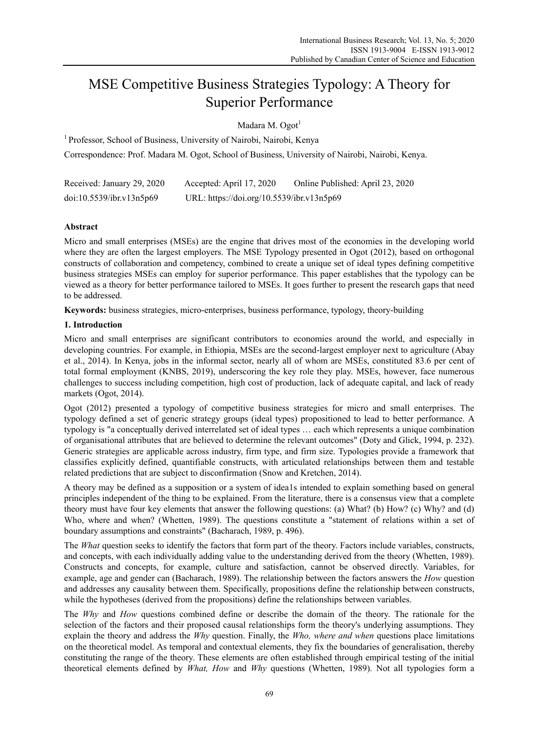# MSE Competitive Business Strategies Typology: A Theory for Superior Performance

Madara M. Ogot<sup>1</sup>

<sup>1</sup> Professor, School of Business, University of Nairobi, Nairobi, Kenya Correspondence: Prof. Madara M. Ogot, School of Business, University of Nairobi, Nairobi, Kenya.

| Received: January 29, 2020 | Accepted: April 17, 2020                  | Online Published: April 23, 2020 |
|----------------------------|-------------------------------------------|----------------------------------|
| doi:10.5539/ibr.v13n5p69   | URL: https://doi.org/10.5539/ibr.v13n5p69 |                                  |

# **Abstract**

Micro and small enterprises (MSEs) are the engine that drives most of the economies in the developing world where they are often the largest employers. The MSE Typology presented in Ogot (2012), based on orthogonal constructs of collaboration and competency, combined to create a unique set of ideal types defining competitive business strategies MSEs can employ for superior performance. This paper establishes that the typology can be viewed as a theory for better performance tailored to MSEs. It goes further to present the research gaps that need to be addressed.

**Keywords:** business strategies, micro-enterprises, business performance, typology, theory-building

# **1. Introduction**

Micro and small enterprises are significant contributors to economies around the world, and especially in developing countries. For example, in Ethiopia, MSEs are the second-largest employer next to agriculture (Abay et al., 2014). In Kenya, jobs in the informal sector, nearly all of whom are MSEs, constituted 83.6 per cent of total formal employment (KNBS, 2019), underscoring the key role they play. MSEs, however, face numerous challenges to success including competition, high cost of production, lack of adequate capital, and lack of ready markets (Ogot, 2014).

Ogot (2012) presented a typology of competitive business strategies for micro and small enterprises. The typology defined a set of generic strategy groups (ideal types) propositioned to lead to better performance. A typology is "a conceptually derived interrelated set of ideal types … each which represents a unique combination of organisational attributes that are believed to determine the relevant outcomes" (Doty and Glick, 1994, p. 232). Generic strategies are applicable across industry, firm type, and firm size. Typologies provide a framework that classifies explicitly defined, quantifiable constructs, with articulated relationships between them and testable related predictions that are subject to disconfirmation (Snow and Kretchen, 2014).

A theory may be defined as a supposition or a system of idea1s intended to explain something based on general principles independent of the thing to be explained. From the literature, there is a consensus view that a complete theory must have four key elements that answer the following questions: (a) What? (b) How? (c) Why? and (d) Who, where and when? (Whetten, 1989). The questions constitute a "statement of relations within a set of boundary assumptions and constraints" (Bacharach, 1989, p. 496).

The *What* question seeks to identify the factors that form part of the theory. Factors include variables, constructs, and concepts, with each individually adding value to the understanding derived from the theory (Whetten, 1989). Constructs and concepts, for example, culture and satisfaction, cannot be observed directly. Variables, for example, age and gender can (Bacharach, 1989). The relationship between the factors answers the *How* question and addresses any causality between them. Specifically, propositions define the relationship between constructs, while the hypotheses (derived from the propositions) define the relationships between variables.

The *Why* and *How* questions combined define or describe the domain of the theory. The rationale for the selection of the factors and their proposed causal relationships form the theory's underlying assumptions. They explain the theory and address the *Why* question. Finally, the *Who, where and when* questions place limitations on the theoretical model. As temporal and contextual elements, they fix the boundaries of generalisation, thereby constituting the range of the theory. These elements are often established through empirical testing of the initial theoretical elements defined by *What, How* and *Why* questions (Whetten, 1989). Not all typologies form a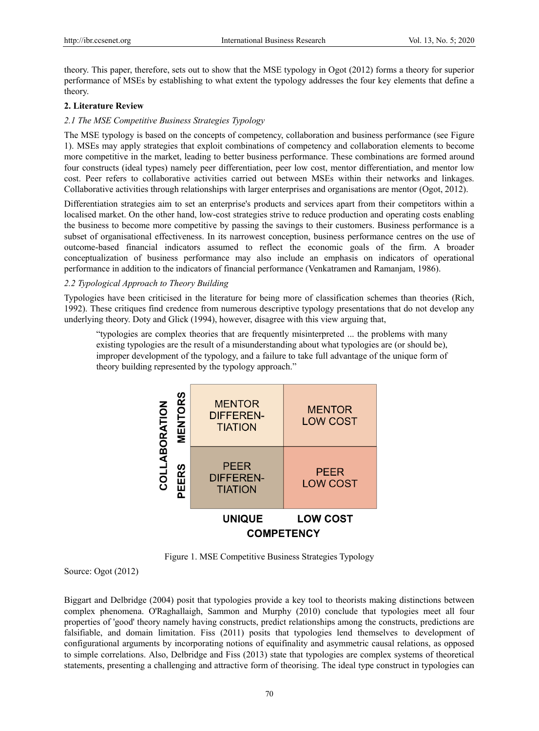theory. This paper, therefore, sets out to show that the MSE typology in Ogot (2012) forms a theory for superior performance of MSEs by establishing to what extent the typology addresses the four key elements that define a theory.

## **2. Literature Review**

## *2.1 The MSE Competitive Business Strategies Typology*

The MSE typology is based on the concepts of competency, collaboration and business performance (see Figure 1). MSEs may apply strategies that exploit combinations of competency and collaboration elements to become more competitive in the market, leading to better business performance. These combinations are formed around four constructs (ideal types) namely peer differentiation, peer low cost, mentor differentiation, and mentor low cost. Peer refers to collaborative activities carried out between MSEs within their networks and linkages. Collaborative activities through relationships with larger enterprises and organisations are mentor (Ogot, 2012).

Differentiation strategies aim to set an enterprise's products and services apart from their competitors within a localised market. On the other hand, low-cost strategies strive to reduce production and operating costs enabling the business to become more competitive by passing the savings to their customers. Business performance is a subset of organisational effectiveness. In its narrowest conception, business performance centres on the use of outcome-based financial indicators assumed to reflect the economic goals of the firm. A broader conceptualization of business performance may also include an emphasis on indicators of operational performance in addition to the indicators of financial performance (Venkatramen and Ramanjam, 1986).

## *2.2 Typological Approach to Theory Building*

Typologies have been criticised in the literature for being more of classification schemes than theories (Rich, 1992). These critiques find credence from numerous descriptive typology presentations that do not develop any underlying theory. Doty and Glick (1994), however, disagree with this view arguing that,

"typologies are complex theories that are frequently misinterpreted ... the problems with many existing typologies are the result of a misunderstanding about what typologies are (or should be), improper development of the typology, and a failure to take full advantage of the unique form of theory building represented by the typology approach."



Figure 1. MSE Competitive Business Strategies Typology

Source: Ogot (2012)

Biggart and Delbridge (2004) posit that typologies provide a key tool to theorists making distinctions between complex phenomena. O'Raghallaigh, Sammon and Murphy (2010) conclude that typologies meet all four properties of 'good' theory namely having constructs, predict relationships among the constructs, predictions are falsifiable, and domain limitation. Fiss (2011) posits that typologies lend themselves to development of configurational arguments by incorporating notions of equifinality and asymmetric causal relations, as opposed to simple correlations. Also, Delbridge and Fiss (2013) state that typologies are complex systems of theoretical statements, presenting a challenging and attractive form of theorising. The ideal type construct in typologies can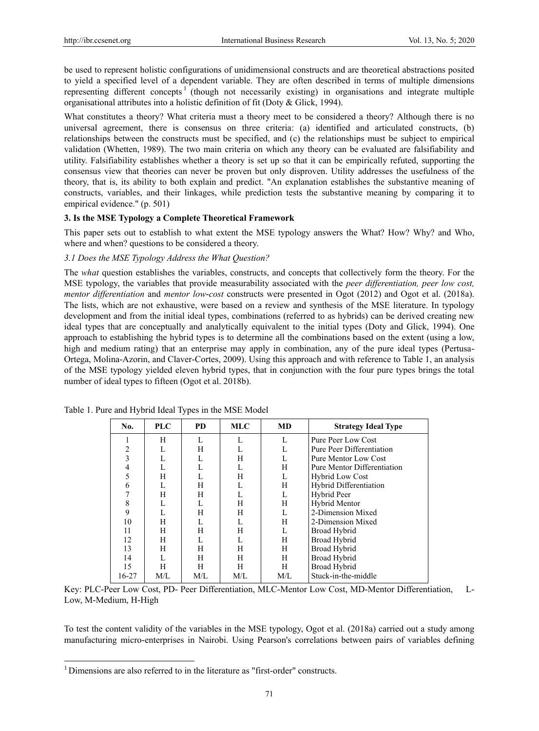be used to represent holistic configurations of unidimensional constructs and are theoretical abstractions posited to yield a specified level of a dependent variable. They are often described in terms of multiple dimensions representing different concepts<sup>1</sup> (though not necessarily existing) in organisations and integrate multiple organisational attributes into a holistic definition of fit (Doty & Glick, 1994).

What constitutes a theory? What criteria must a theory meet to be considered a theory? Although there is no universal agreement, there is consensus on three criteria: (a) identified and articulated constructs, (b) relationships between the constructs must be specified, and (c) the relationships must be subject to empirical validation (Whetten, 1989). The two main criteria on which any theory can be evaluated are falsifiability and utility. Falsifiability establishes whether a theory is set up so that it can be empirically refuted, supporting the consensus view that theories can never be proven but only disproven. Utility addresses the usefulness of the theory, that is, its ability to both explain and predict. "An explanation establishes the substantive meaning of constructs, variables, and their linkages, while prediction tests the substantive meaning by comparing it to empirical evidence." (p. 501)

## **3. Is the MSE Typology a Complete Theoretical Framework**

This paper sets out to establish to what extent the MSE typology answers the What? How? Why? and Who, where and when? questions to be considered a theory.

## *3.1 Does the MSE Typology Address the What Question?*

The *what* question establishes the variables, constructs, and concepts that collectively form the theory. For the MSE typology, the variables that provide measurability associated with the *peer differentiation, peer low cost, mentor differentiation* and *mentor low-cost* constructs were presented in Ogot (2012) and Ogot et al. (2018a). The lists, which are not exhaustive, were based on a review and synthesis of the MSE literature. In typology development and from the initial ideal types, combinations (referred to as hybrids) can be derived creating new ideal types that are conceptually and analytically equivalent to the initial types (Doty and Glick, 1994). One approach to establishing the hybrid types is to determine all the combinations based on the extent (using a low, high and medium rating) that an enterprise may apply in combination, any of the pure ideal types (Pertusa-Ortega, Molina-Azorin, and Claver-Cortes, 2009). Using this approach and with reference to Table 1, an analysis of the MSE typology yielded eleven hybrid types, that in conjunction with the four pure types brings the total number of ideal types to fifteen (Ogot et al. 2018b).

| No.   | <b>PLC</b> | <b>PD</b> | <b>MLC</b> | <b>MD</b> | <b>Strategy Ideal Type</b>  |
|-------|------------|-----------|------------|-----------|-----------------------------|
|       | H          | L         |            |           | Pure Peer Low Cost          |
| 2     |            | Н         |            |           | Pure Peer Differentiation   |
|       |            | L         | H          |           | Pure Mentor Low Cost        |
| 4     |            | L         |            | Н         | Pure Mentor Differentiation |
|       | H          |           | H          | L         | <b>Hybrid Low Cost</b>      |
| 6     |            | H         |            | Н         | Hybrid Differentiation      |
|       | Н          | H         |            | L         | Hybrid Peer                 |
| 8     |            | L         | H          | Н         | Hybrid Mentor               |
| 9     |            | H         | Н          | L         | 2-Dimension Mixed           |
| 10    | H          | L         |            | Н         | 2-Dimension Mixed           |
| 11    | H          | H         | H          | L         | Broad Hybrid                |
| 12    | H          | L         |            | Н         | Broad Hybrid                |
| 13    | H          | H         | H          | Н         | Broad Hybrid                |
| 14    |            | Н         | H          | Н         | <b>Broad Hybrid</b>         |
| 15    | H          | Н         | H          | H         | Broad Hybrid                |
| 16-27 | M/L        | M/L       | M/L        | M/L       | Stuck-in-the-middle         |

Table 1. Pure and Hybrid Ideal Types in the MSE Model

Key: PLC-Peer Low Cost, PD- Peer Differentiation, MLC-Mentor Low Cost, MD-Mentor Differentiation, L-Low, M-Medium, H-High

To test the content validity of the variables in the MSE typology, Ogot et al. (2018a) carried out a study among manufacturing micro-enterprises in Nairobi. Using Pearson's correlations between pairs of variables defining

-

<sup>&</sup>lt;sup>1</sup> Dimensions are also referred to in the literature as "first-order" constructs.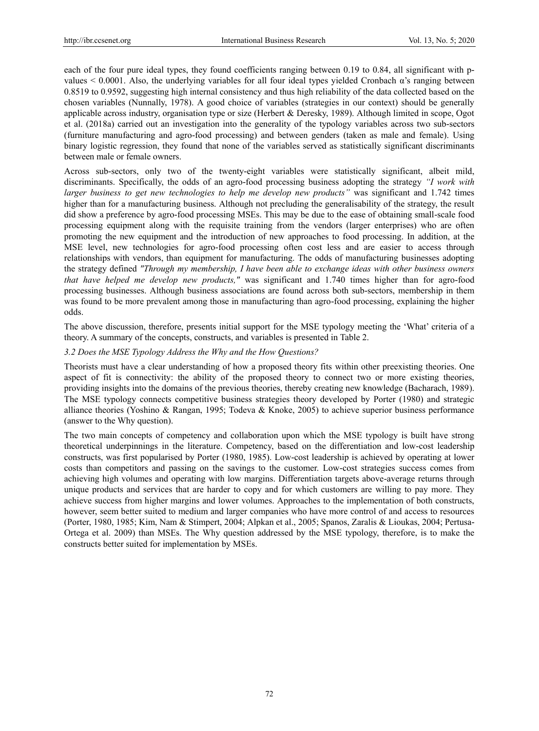each of the four pure ideal types, they found coefficients ranging between 0.19 to 0.84, all significant with pvalues < 0.0001. Also, the underlying variables for all four ideal types yielded Cronbach α"s ranging between 0.8519 to 0.9592, suggesting high internal consistency and thus high reliability of the data collected based on the chosen variables (Nunnally, 1978). A good choice of variables (strategies in our context) should be generally applicable across industry, organisation type or size (Herbert & Deresky, 1989). Although limited in scope, Ogot et al. (2018a) carried out an investigation into the generality of the typology variables across two sub-sectors (furniture manufacturing and agro-food processing) and between genders (taken as male and female). Using binary logistic regression, they found that none of the variables served as statistically significant discriminants between male or female owners.

Across sub-sectors, only two of the twenty-eight variables were statistically significant, albeit mild, discriminants. Specifically, the odds of an agro-food processing business adopting the strategy *"I work with larger business to get new technologies to help me develop new products*" was significant and 1.742 times higher than for a manufacturing business. Although not precluding the generalisability of the strategy, the result did show a preference by agro-food processing MSEs. This may be due to the ease of obtaining small-scale food processing equipment along with the requisite training from the vendors (larger enterprises) who are often promoting the new equipment and the introduction of new approaches to food processing. In addition, at the MSE level, new technologies for agro-food processing often cost less and are easier to access through relationships with vendors, than equipment for manufacturing. The odds of manufacturing businesses adopting the strategy defined *"Through my membership, I have been able to exchange ideas with other business owners that have helped me develop new products,"* was significant and 1.740 times higher than for agro-food processing businesses. Although business associations are found across both sub-sectors, membership in them was found to be more prevalent among those in manufacturing than agro-food processing, explaining the higher odds.

The above discussion, therefore, presents initial support for the MSE typology meeting the "What" criteria of a theory. A summary of the concepts, constructs, and variables is presented in Table 2.

## *3.2 Does the MSE Typology Address the Why and the How Questions?*

Theorists must have a clear understanding of how a proposed theory fits within other preexisting theories. One aspect of fit is connectivity: the ability of the proposed theory to connect two or more existing theories, providing insights into the domains of the previous theories, thereby creating new knowledge (Bacharach, 1989). The MSE typology connects competitive business strategies theory developed by Porter (1980) and strategic alliance theories (Yoshino & Rangan, 1995; Todeva & Knoke, 2005) to achieve superior business performance (answer to the Why question).

The two main concepts of competency and collaboration upon which the MSE typology is built have strong theoretical underpinnings in the literature. Competency, based on the differentiation and low-cost leadership constructs, was first popularised by Porter (1980, 1985). Low-cost leadership is achieved by operating at lower costs than competitors and passing on the savings to the customer. Low-cost strategies success comes from achieving high volumes and operating with low margins. Differentiation targets above-average returns through unique products and services that are harder to copy and for which customers are willing to pay more. They achieve success from higher margins and lower volumes. Approaches to the implementation of both constructs, however, seem better suited to medium and larger companies who have more control of and access to resources (Porter, 1980, 1985; Kim, Nam & Stimpert, 2004; Alpkan et al., 2005; Spanos, Zaralis & Lioukas, 2004; Pertusa-Ortega et al. 2009) than MSEs. The Why question addressed by the MSE typology, therefore, is to make the constructs better suited for implementation by MSEs.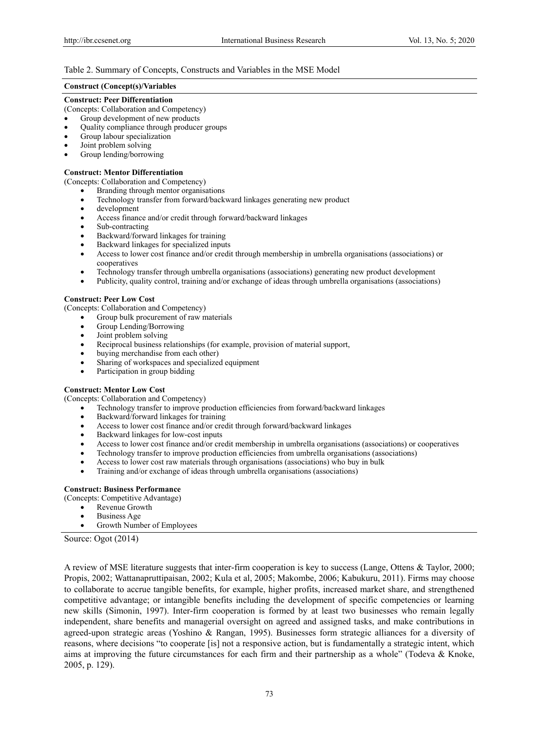### Table 2. Summary of Concepts, Constructs and Variables in the MSE Model

#### **Construct (Concept(s)/Variables**

#### **Construct: Peer Differentiation**

(Concepts: Collaboration and Competency)

- Group development of new products
- Quality compliance through producer groups
- Group labour specialization
- Joint problem solving
- Group lending/borrowing

#### **Construct: Mentor Differentiation**

(Concepts: Collaboration and Competency)

- Branding through mentor organisations
- Technology transfer from forward/backward linkages generating new product
- development
- Access finance and/or credit through forward/backward linkages
- Sub-contracting
- Backward/forward linkages for training
- Backward linkages for specialized inputs<br>• Access to lower cost finance and/or credi
- Access to lower cost finance and/or credit through membership in umbrella organisations (associations) or cooperatives
- Technology transfer through umbrella organisations (associations) generating new product development
- Publicity, quality control, training and/or exchange of ideas through umbrella organisations (associations)

#### **Construct: Peer Low Cost**

(Concepts: Collaboration and Competency)

- Group bulk procurement of raw materials
- Group Lending/Borrowing
- Joint problem solving
- Reciprocal business relationships (for example, provision of material support,
- buying merchandise from each other)
- Sharing of workspaces and specialized equipment
- Participation in group bidding

#### **Construct: Mentor Low Cost**

(Concepts: Collaboration and Competency)

- Technology transfer to improve production efficiencies from forward/backward linkages
- Backward/forward linkages for training
- Access to lower cost finance and/or credit through forward/backward linkages
- Backward linkages for low-cost inputs
- Access to lower cost finance and/or credit membership in umbrella organisations (associations) or cooperatives
- Technology transfer to improve production efficiencies from umbrella organisations (associations)
- Access to lower cost raw materials through organisations (associations) who buy in bulk
- Training and/or exchange of ideas through umbrella organisations (associations)

#### **Construct: Business Performance**

- (Concepts: Competitive Advantage)
	- Revenue Growth
	- Business Age
	- Growth Number of Employees

#### Source: Ogot (2014)

A review of MSE literature suggests that inter-firm cooperation is key to success (Lange, Ottens & Taylor, 2000; Propis, 2002; Wattanapruttipaisan, 2002; Kula et al, 2005; Makombe, 2006; Kabukuru, 2011). Firms may choose to collaborate to accrue tangible benefits, for example, higher profits, increased market share, and strengthened competitive advantage; or intangible benefits including the development of specific competencies or learning new skills (Simonin, 1997). Inter-firm cooperation is formed by at least two businesses who remain legally independent, share benefits and managerial oversight on agreed and assigned tasks, and make contributions in agreed-upon strategic areas (Yoshino & Rangan, 1995). Businesses form strategic alliances for a diversity of reasons, where decisions "to cooperate [is] not a responsive action, but is fundamentally a strategic intent, which aims at improving the future circumstances for each firm and their partnership as a whole" (Todeva & Knoke, 2005, p. 129).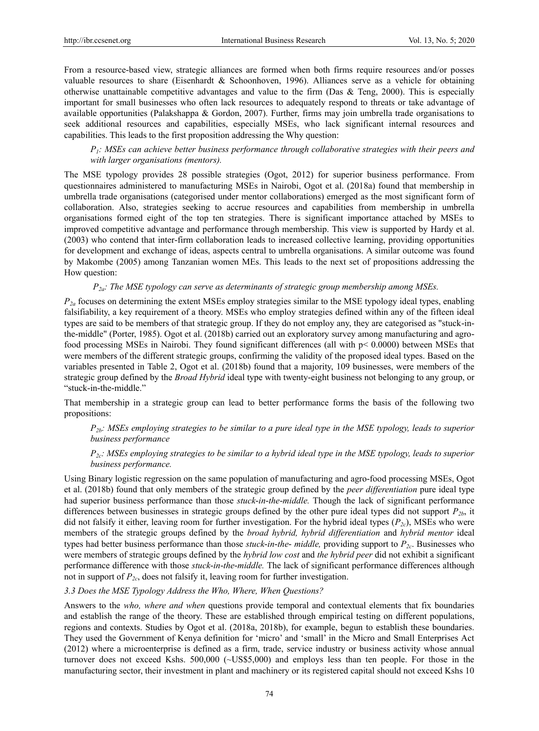From a resource-based view, strategic alliances are formed when both firms require resources and/or posses valuable resources to share (Eisenhardt & Schoonhoven, 1996). Alliances serve as a vehicle for obtaining otherwise unattainable competitive advantages and value to the firm (Das  $\&$  Teng, 2000). This is especially important for small businesses who often lack resources to adequately respond to threats or take advantage of available opportunities (Palakshappa & Gordon, 2007). Further, firms may join umbrella trade organisations to seek additional resources and capabilities, especially MSEs, who lack significant internal resources and capabilities. This leads to the first proposition addressing the Why question:

## *P1: MSEs can achieve better business performance through collaborative strategies with their peers and with larger organisations (mentors).*

The MSE typology provides 28 possible strategies (Ogot, 2012) for superior business performance. From questionnaires administered to manufacturing MSEs in Nairobi, Ogot et al. (2018a) found that membership in umbrella trade organisations (categorised under mentor collaborations) emerged as the most significant form of collaboration. Also, strategies seeking to accrue resources and capabilities from membership in umbrella organisations formed eight of the top ten strategies. There is significant importance attached by MSEs to improved competitive advantage and performance through membership. This view is supported by Hardy et al. (2003) who contend that inter-firm collaboration leads to increased collective learning, providing opportunities for development and exchange of ideas, aspects central to umbrella organisations. A similar outcome was found by Makombe (2005) among Tanzanian women MEs. This leads to the next set of propositions addressing the How question:

#### *P2a: The MSE typology can serve as determinants of strategic group membership among MSEs.*

*P2a* focuses on determining the extent MSEs employ strategies similar to the MSE typology ideal types, enabling falsifiability, a key requirement of a theory. MSEs who employ strategies defined within any of the fifteen ideal types are said to be members of that strategic group. If they do not employ any, they are categorised as "stuck-inthe-middle" (Porter, 1985). Ogot et al. (2018b) carried out an exploratory survey among manufacturing and agrofood processing MSEs in Nairobi. They found significant differences (all with p< 0.0000) between MSEs that were members of the different strategic groups, confirming the validity of the proposed ideal types. Based on the variables presented in Table 2, Ogot et al. (2018b) found that a majority, 109 businesses, were members of the strategic group defined by the *Broad Hybrid* ideal type with twenty-eight business not belonging to any group, or "stuck-in-the-middle."

That membership in a strategic group can lead to better performance forms the basis of the following two propositions:

## *P2b: MSEs employing strategies to be similar to a pure ideal type in the MSE typology, leads to superior business performance*

## *P2c: MSEs employing strategies to be similar to a hybrid ideal type in the MSE typology, leads to superior business performance.*

Using Binary logistic regression on the same population of manufacturing and agro-food processing MSEs, Ogot et al. (2018b) found that only members of the strategic group defined by the *peer differentiation* pure ideal type had superior business performance than those *stuck-in-the-middle.* Though the lack of significant performance differences between businesses in strategic groups defined by the other pure ideal types did not support *P2b*, it did not falsify it either, leaving room for further investigation. For the hybrid ideal types (*P2c*), MSEs who were members of the strategic groups defined by the *broad hybrid, hybrid differentiation* and *hybrid mentor* ideal types had better business performance than those *stuck-in-the- middle,* providing support to *P2c*. Businesses who were members of strategic groups defined by the *hybrid low cost* and *the hybrid peer* did not exhibit a significant performance difference with those *stuck-in-the-middle.* The lack of significant performance differences although not in support of *P2c*, does not falsify it, leaving room for further investigation.

#### *3.3 Does the MSE Typology Address the Who, Where, When Questions?*

Answers to the *who, where and when* questions provide temporal and contextual elements that fix boundaries and establish the range of the theory. These are established through empirical testing on different populations, regions and contexts. Studies by Ogot et al. (2018a, 2018b), for example, begun to establish these boundaries. They used the Government of Kenya definition for "micro" and "small" in the Micro and Small Enterprises Act (2012) where a microenterprise is defined as a firm, trade, service industry or business activity whose annual turnover does not exceed Kshs. 500,000 (~US\$5,000) and employs less than ten people. For those in the manufacturing sector, their investment in plant and machinery or its registered capital should not exceed Kshs 10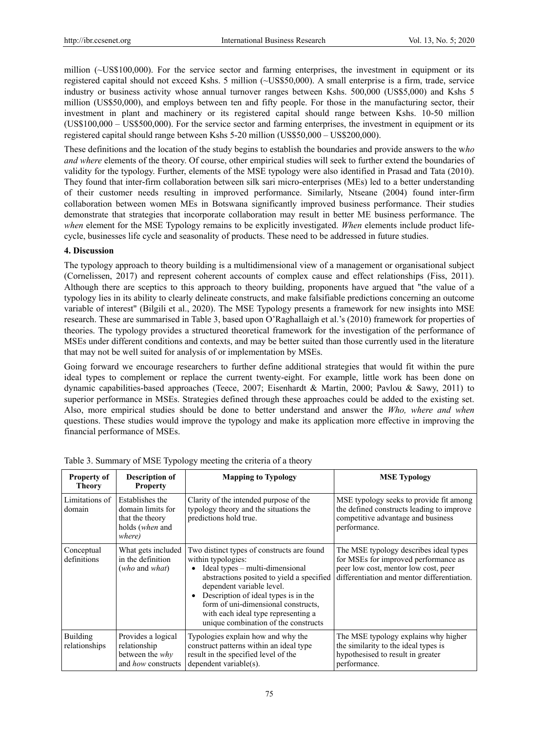million (~US\$100,000). For the service sector and farming enterprises, the investment in equipment or its registered capital should not exceed Kshs. 5 million (~US\$50,000). A small enterprise is a firm, trade, service industry or business activity whose annual turnover ranges between Kshs. 500,000 (US\$5,000) and Kshs 5 million (US\$50,000), and employs between ten and fifty people. For those in the manufacturing sector, their investment in plant and machinery or its registered capital should range between Kshs. 10-50 million (US\$100,000 – US\$500,000). For the service sector and farming enterprises, the investment in equipment or its registered capital should range between Kshs 5-20 million (US\$50,000 – US\$200,000).

These definitions and the location of the study begins to establish the boundaries and provide answers to the w*ho and where* elements of the theory. Of course, other empirical studies will seek to further extend the boundaries of validity for the typology. Further, elements of the MSE typology were also identified in Prasad and Tata (2010). They found that inter-firm collaboration between silk sari micro-enterprises (MEs) led to a better understanding of their customer needs resulting in improved performance. Similarly, Ntseane (2004) found inter-firm collaboration between women MEs in Botswana significantly improved business performance. Their studies demonstrate that strategies that incorporate collaboration may result in better ME business performance. The *when* element for the MSE Typology remains to be explicitly investigated. *When* elements include product lifecycle, businesses life cycle and seasonality of products. These need to be addressed in future studies.

## **4. Discussion**

The typology approach to theory building is a multidimensional view of a management or organisational subject (Cornelissen, 2017) and represent coherent accounts of complex cause and effect relationships (Fiss, 2011). Although there are sceptics to this approach to theory building, proponents have argued that "the value of a typology lies in its ability to clearly delineate constructs, and make falsifiable predictions concerning an outcome variable of interest" (Bilgili et al., 2020). The MSE Typology presents a framework for new insights into MSE research. These are summarised in Table 3, based upon O"Raghallaigh et al."s (2010) framework for properties of theories. The typology provides a structured theoretical framework for the investigation of the performance of MSEs under different conditions and contexts, and may be better suited than those currently used in the literature that may not be well suited for analysis of or implementation by MSEs.

Going forward we encourage researchers to further define additional strategies that would fit within the pure ideal types to complement or replace the current twenty-eight. For example, little work has been done on dynamic capabilities-based approaches (Teece, 2007; Eisenhardt & Martin, 2000; Pavlou & Sawy, 2011) to superior performance in MSEs. Strategies defined through these approaches could be added to the existing set. Also, more empirical studies should be done to better understand and answer the *Who, where and when* questions. These studies would improve the typology and make its application more effective in improving the financial performance of MSEs.

| <b>Property of</b><br><b>Theory</b> | Description of<br><b>Property</b>                                                    | <b>Mapping to Typology</b>                                                                                                                                                                                                                                                                                                                  | <b>MSE Typology</b>                                                                                                                                                   |
|-------------------------------------|--------------------------------------------------------------------------------------|---------------------------------------------------------------------------------------------------------------------------------------------------------------------------------------------------------------------------------------------------------------------------------------------------------------------------------------------|-----------------------------------------------------------------------------------------------------------------------------------------------------------------------|
| Limitations of 1<br>domain          | Establishes the<br>domain limits for<br>that the theory<br>holds (when and<br>where) | Clarity of the intended purpose of the<br>typology theory and the situations the<br>predictions hold true.                                                                                                                                                                                                                                  | MSE typology seeks to provide fit among<br>the defined constructs leading to improve<br>competitive advantage and business<br>performance.                            |
| Conceptual<br>definitions           | What gets included<br>in the definition<br>(who and what)                            | Two distinct types of constructs are found<br>within typologies:<br>Ideal types – multi-dimensional<br>abstractions posited to yield a specified<br>dependent variable level.<br>Description of ideal types is in the<br>form of uni-dimensional constructs,<br>with each ideal type representing a<br>unique combination of the constructs | The MSE typology describes ideal types<br>for MSEs for improved performance as<br>peer low cost, mentor low cost, peer<br>differentiation and mentor differentiation. |
| Building<br>relationships           | Provides a logical<br>relationship<br>between the <i>why</i><br>and how constructs   | Typologies explain how and why the<br>construct patterns within an ideal type<br>result in the specified level of the<br>dependent variable(s).                                                                                                                                                                                             | The MSE typology explains why higher<br>the similarity to the ideal types is<br>hypothesised to result in greater<br>performance.                                     |

Table 3. Summary of MSE Typology meeting the criteria of a theory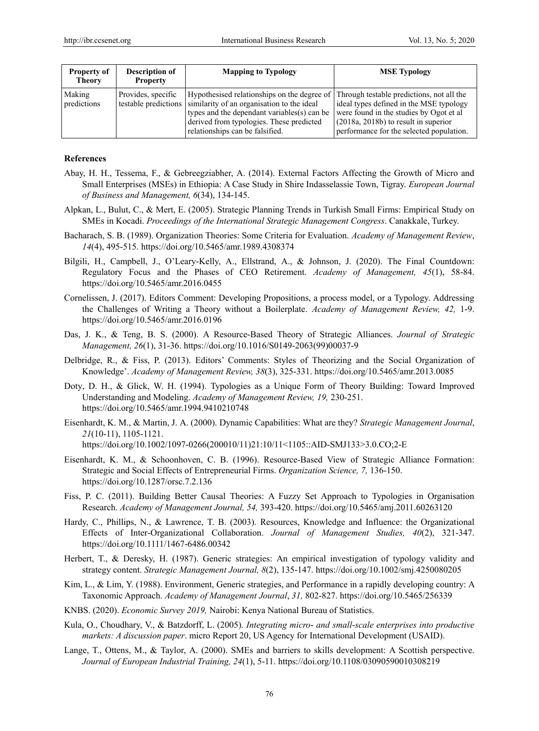| <b>Property of</b><br><b>Theory</b> | <b>Description of</b><br><b>Property</b> | <b>Mapping to Typology</b>                                                                                                                                                                                                                                                             | <b>MSE</b> Typology                                                                                                                                                      |
|-------------------------------------|------------------------------------------|----------------------------------------------------------------------------------------------------------------------------------------------------------------------------------------------------------------------------------------------------------------------------------------|--------------------------------------------------------------------------------------------------------------------------------------------------------------------------|
| Making<br>predictions               | Provides, specific                       | Hypothesised relationships on the degree of Through testable predictions, not all the<br>testable predictions similarity of an organisation to the ideal<br>types and the dependant variables(s) can be<br>derived from typologies. These predicted<br>relationships can be falsified. | ideal types defined in the MSE typology<br>were found in the studies by Ogot et al<br>$(2018a, 2018b)$ to result in superior<br>performance for the selected population. |

#### **References**

- Abay, H. H., Tessema, F., & Gebreegziabher, A. (2014). External Factors Affecting the Growth of Micro and Small Enterprises (MSEs) in Ethiopia: A Case Study in Shire Indasselassie Town, Tigray. *European Journal of Business and Management, 6*(34), 134-145.
- Alpkan, L., Bulut, C., & Mert, E. (2005). Strategic Planning Trends in Turkish Small Firms: Empirical Study on SMEs in Kocadi. *Proceedings of the International Strategic Management Congress*. Canakkale, Turkey.
- Bacharach, S. B. (1989). Organization Theories: Some Criteria for Evaluation. *Academy of Management Review*, *14*(4), 495-515. https://doi.org/10.5465/amr.1989.4308374
- Bilgili, H., Campbell, J., O"Leary-Kelly, A., Ellstrand, A., & Johnson, J. (2020). The Final Countdown: Regulatory Focus and the Phases of CEO Retirement. *Academy of Management, 45*(1), 58-84. https://doi.org/10.5465/amr.2016.0455
- Cornelissen, J. (2017). Editors Comment: Developing Propositions, a process model, or a Typology. Addressing the Challenges of Writing a Theory without a Boilerplate. *Academy of Management Review, 42,* 1-9. https://doi.org/10.5465/amr.2016.0196
- Das, J. K., & Teng, B. S. (2000). A Resource-Based Theory of Strategic Alliances. *Journal of Strategic Management, 26*(1), 31-36. https://doi.org/10.1016/S0149-2063(99)00037-9
- Delbridge, R., & Fiss, P. (2013). Editors" Comments: Styles of Theorizing and the Social Organization of Knowledge". *Academy of Management Review, 38*(3), 325-331. https://doi.org/10.5465/amr.2013.0085
- Doty, D. H., & Glick, W. H. (1994). Typologies as a Unique Form of Theory Building: Toward Improved Understanding and Modeling. *Academy of Management Review, 19,* 230-251. https://doi.org/10.5465/amr.1994.9410210748
- Eisenhardt, K. M., & Martin, J. A. (2000). Dynamic Capabilities: What are they? *Strategic Management Journal*, *21*(10‐11), 1105-1121. https://doi.org/10.1002/1097-0266(200010/11)21:10/11<1105::AID-SMJ133>3.0.CO;2-E
- Eisenhardt, K. M., & Schoonhoven, C. B. (1996). Resource-Based View of Strategic Alliance Formation: Strategic and Social Effects of Entrepreneurial Firms. *Organization Science, 7,* 136-150. https://doi.org/10.1287/orsc.7.2.136
- Fiss, P. C. (2011). Building Better Causal Theories: A Fuzzy Set Approach to Typologies in Organisation Research. *Academy of Management Journal, 54,* 393-420. https://doi.org/10.5465/amj.2011.60263120
- Hardy, C., Phillips, N., & Lawrence, T. B. (2003). Resources, Knowledge and Influence: the Organizational Effects of Inter-Organizational Collaboration. *Journal of Management Studies, 40*(2), 321-347. https://doi.org/10.1111/1467-6486.00342
- Herbert, T., & Deresky, H. (1987). Generic strategies: An empirical investigation of typology validity and strategy content. *Strategic Management Journal, 8*(2), 135-147. https://doi.org/10.1002/smj.4250080205
- Kim, L., & Lim, Y. (1988). Environment, Generic strategies, and Performance in a rapidly developing country: A Taxonomic Approach. *Academy of Management Journal*, *31,* 802-827. https://doi.org/10.5465/256339
- KNBS. (2020). *Economic Survey 2019,* Nairobi: Kenya National Bureau of Statistics.
- Kula, O., Choudhary, V., & Batzdorff, L. (2005). *Integrating micro- and small-scale enterprises into productive markets: A discussion paper*. micro Report 20, US Agency for International Development (USAID).
- Lange, T., Ottens, M., & Taylor, A. (2000). SMEs and barriers to skills development: A Scottish perspective. *Journal of European Industrial Training, 24*(1), 5-11. https://doi.org/10.1108/03090590010308219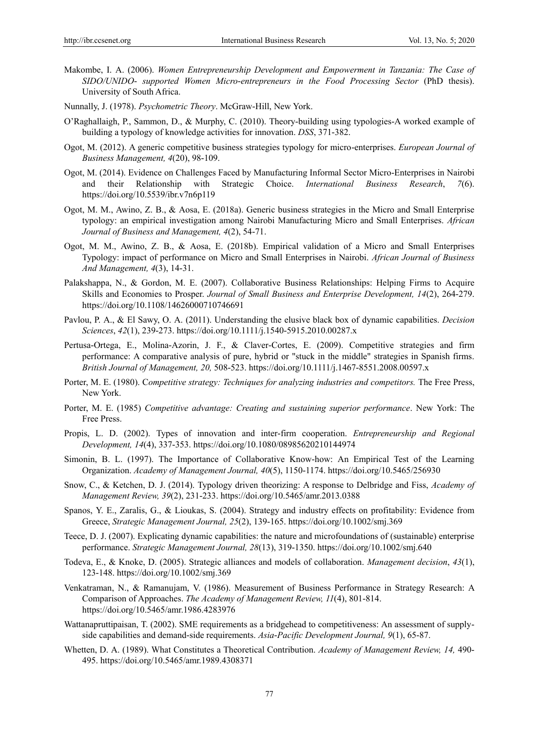- Makombe, I. A. (2006). *Women Entrepreneurship Development and Empowerment in Tanzania: The Case of SIDO/UNIDO- supported Women Micro-entrepreneurs in the Food Processing Sector* (PhD thesis). University of South Africa.
- Nunnally, J. (1978). *Psychometric Theory*. McGraw-Hill, New York.
- O"Raghallaigh, P., Sammon, D., & Murphy, C. (2010). Theory-building using typologies-A worked example of building a typology of knowledge activities for innovation. *DSS*, 371-382.
- Ogot, M. (2012). A generic competitive business strategies typology for micro-enterprises. *European Journal of Business Management, 4*(20), 98-109.
- Ogot, M. (2014). Evidence on Challenges Faced by Manufacturing Informal Sector Micro-Enterprises in Nairobi and their Relationship with Strategic Choice. *International Business Research*, *7*(6). https://doi.org/10.5539/ibr.v7n6p119
- Ogot, M. M., Awino, Z. B., & Aosa, E. (2018a). Generic business strategies in the Micro and Small Enterprise typology: an empirical investigation among Nairobi Manufacturing Micro and Small Enterprises. *African Journal of Business and Management, 4*(2), 54-71.
- Ogot, M. M., Awino, Z. B., & Aosa, E. (2018b). Empirical validation of a Micro and Small Enterprises Typology: impact of performance on Micro and Small Enterprises in Nairobi. *African Journal of Business And Management, 4*(3), 14-31.
- Palakshappa, N., & Gordon, M. E. (2007). Collaborative Business Relationships: Helping Firms to Acquire Skills and Economies to Prosper. *Journal of Small Business and Enterprise Development, 14*(2), 264-279. https://doi.org/10.1108/14626000710746691
- Pavlou, P. A., & El Sawy, O. A. (2011). Understanding the elusive black box of dynamic capabilities. *Decision Sciences*, *42*(1), 239-273. https://doi.org/10.1111/j.1540-5915.2010.00287.x
- Pertusa-Ortega, E., Molina-Azorin, J. F., & Claver-Cortes, E. (2009). Competitive strategies and firm performance: A comparative analysis of pure, hybrid or "stuck in the middle" strategies in Spanish firms. *British Journal of Management, 20,* 508-523. https://doi.org/10.1111/j.1467-8551.2008.00597.x
- Porter, M. E. (1980). C*ompetitive strategy: Techniques for analyzing industries and competitors.* The Free Press, New York.
- Porter, M. E. (1985) *Competitive advantage: Creating and sustaining superior performance*. New York: The Free Press.
- Propis, L. D. (2002). Types of innovation and inter-firm cooperation. *Entrepreneurship and Regional Development, 14*(4), 337-353. https://doi.org/10.1080/08985620210144974
- Simonin, B. L. (1997). The Importance of Collaborative Know-how: An Empirical Test of the Learning Organization. *Academy of Management Journal, 40*(5), 1150-1174. https://doi.org/10.5465/256930
- Snow, C., & Ketchen, D. J. (2014). Typology driven theorizing: A response to Delbridge and Fiss, *Academy of Management Review, 39*(2), 231-233. https://doi.org/10.5465/amr.2013.0388
- Spanos, Y. E., Zaralis, G., & Lioukas, S. (2004). Strategy and industry effects on profitability: Evidence from Greece, *Strategic Management Journal, 25*(2), 139-165. https://doi.org/10.1002/smj.369
- Teece, D. J. (2007). Explicating dynamic capabilities: the nature and microfoundations of (sustainable) enterprise performance. *Strategic Management Journal, 28*(13), 319-1350. https://doi.org/10.1002/smj.640
- Todeva, E., & Knoke, D. (2005). Strategic alliances and models of collaboration. *Management decision*, *43*(1), 123-148. https://doi.org/10.1002/smj.369
- Venkatraman, N., & Ramanujam, V. (1986). Measurement of Business Performance in Strategy Research: A Comparison of Approaches. *The Academy of Management Review, 11*(4), 801-814. <https://doi.org/10.5465/amr.1986.4283976>
- Wattanapruttipaisan, T. (2002). SME requirements as a bridgehead to competitiveness: An assessment of supplyside capabilities and demand-side requirements. *Asia-Pacific Development Journal, 9*(1), 65-87.
- Whetten, D. A. (1989). What Constitutes a Theoretical Contribution. *Academy of Management Review, 14,* 490- 495. https://doi.org/10.5465/amr.1989.4308371